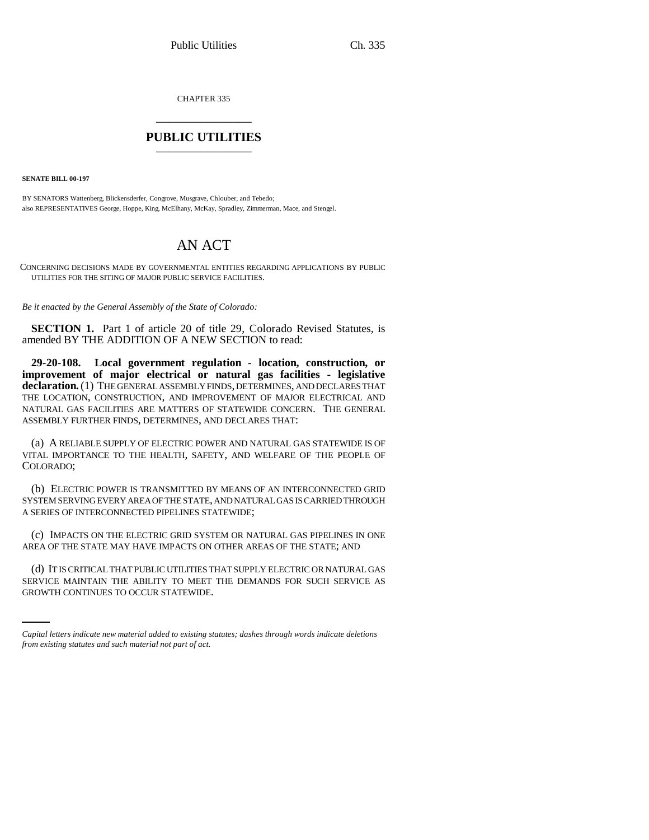CHAPTER 335 \_\_\_\_\_\_\_\_\_\_\_\_\_\_\_

## **PUBLIC UTILITIES** \_\_\_\_\_\_\_\_\_\_\_\_\_\_\_

**SENATE BILL 00-197** 

BY SENATORS Wattenberg, Blickensderfer, Congrove, Musgrave, Chlouber, and Tebedo; also REPRESENTATIVES George, Hoppe, King, McElhany, McKay, Spradley, Zimmerman, Mace, and Stengel.

## AN ACT

CONCERNING DECISIONS MADE BY GOVERNMENTAL ENTITIES REGARDING APPLICATIONS BY PUBLIC UTILITIES FOR THE SITING OF MAJOR PUBLIC SERVICE FACILITIES.

*Be it enacted by the General Assembly of the State of Colorado:*

**SECTION 1.** Part 1 of article 20 of title 29, Colorado Revised Statutes, is amended BY THE ADDITION OF A NEW SECTION to read:

**29-20-108. Local government regulation - location, construction, or improvement of major electrical or natural gas facilities - legislative declaration.** (1) THE GENERAL ASSEMBLY FINDS, DETERMINES, AND DECLARES THAT THE LOCATION, CONSTRUCTION, AND IMPROVEMENT OF MAJOR ELECTRICAL AND NATURAL GAS FACILITIES ARE MATTERS OF STATEWIDE CONCERN. THE GENERAL ASSEMBLY FURTHER FINDS, DETERMINES, AND DECLARES THAT:

(a) A RELIABLE SUPPLY OF ELECTRIC POWER AND NATURAL GAS STATEWIDE IS OF VITAL IMPORTANCE TO THE HEALTH, SAFETY, AND WELFARE OF THE PEOPLE OF COLORADO;

(b) ELECTRIC POWER IS TRANSMITTED BY MEANS OF AN INTERCONNECTED GRID SYSTEM SERVING EVERY AREA OF THE STATE, AND NATURAL GAS IS CARRIED THROUGH A SERIES OF INTERCONNECTED PIPELINES STATEWIDE;

(c) IMPACTS ON THE ELECTRIC GRID SYSTEM OR NATURAL GAS PIPELINES IN ONE AREA OF THE STATE MAY HAVE IMPACTS ON OTHER AREAS OF THE STATE; AND

(d) IT IS CRITICAL THAT PUBLIC UTILITIES THAT SUPPLY ELECTRIC OR NATURAL GAS SERVICE MAINTAIN THE ABILITY TO MEET THE DEMANDS FOR SUCH SERVICE AS GROWTH CONTINUES TO OCCUR STATEWIDE.

*Capital letters indicate new material added to existing statutes; dashes through words indicate deletions from existing statutes and such material not part of act.*